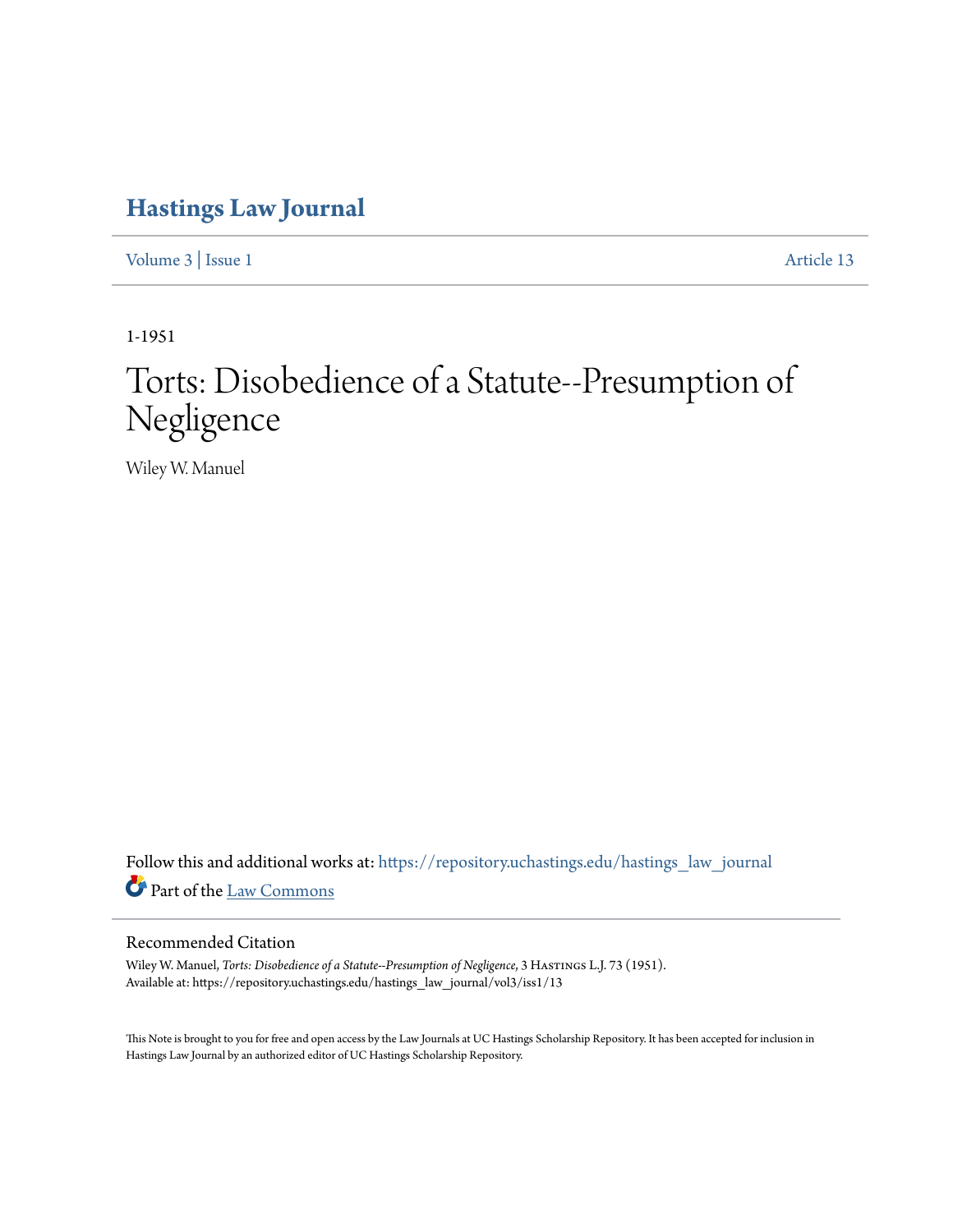## **[Hastings Law Journal](https://repository.uchastings.edu/hastings_law_journal?utm_source=repository.uchastings.edu%2Fhastings_law_journal%2Fvol3%2Fiss1%2F13&utm_medium=PDF&utm_campaign=PDFCoverPages)**

[Volume 3](https://repository.uchastings.edu/hastings_law_journal/vol3?utm_source=repository.uchastings.edu%2Fhastings_law_journal%2Fvol3%2Fiss1%2F13&utm_medium=PDF&utm_campaign=PDFCoverPages) | [Issue 1](https://repository.uchastings.edu/hastings_law_journal/vol3/iss1?utm_source=repository.uchastings.edu%2Fhastings_law_journal%2Fvol3%2Fiss1%2F13&utm_medium=PDF&utm_campaign=PDFCoverPages) [Article 13](https://repository.uchastings.edu/hastings_law_journal/vol3/iss1/13?utm_source=repository.uchastings.edu%2Fhastings_law_journal%2Fvol3%2Fiss1%2F13&utm_medium=PDF&utm_campaign=PDFCoverPages)

1-1951

## Torts: Disobedience of a Statute--Presumption of Negligence

Wiley W. Manuel

Follow this and additional works at: [https://repository.uchastings.edu/hastings\\_law\\_journal](https://repository.uchastings.edu/hastings_law_journal?utm_source=repository.uchastings.edu%2Fhastings_law_journal%2Fvol3%2Fiss1%2F13&utm_medium=PDF&utm_campaign=PDFCoverPages) Part of the [Law Commons](http://network.bepress.com/hgg/discipline/578?utm_source=repository.uchastings.edu%2Fhastings_law_journal%2Fvol3%2Fiss1%2F13&utm_medium=PDF&utm_campaign=PDFCoverPages)

## Recommended Citation

Wiley W. Manuel, *Torts: Disobedience of a Statute--Presumption of Negligence*, 3 HASTINGS L.J. 73 (1951). Available at: https://repository.uchastings.edu/hastings\_law\_journal/vol3/iss1/13

This Note is brought to you for free and open access by the Law Journals at UC Hastings Scholarship Repository. It has been accepted for inclusion in Hastings Law Journal by an authorized editor of UC Hastings Scholarship Repository.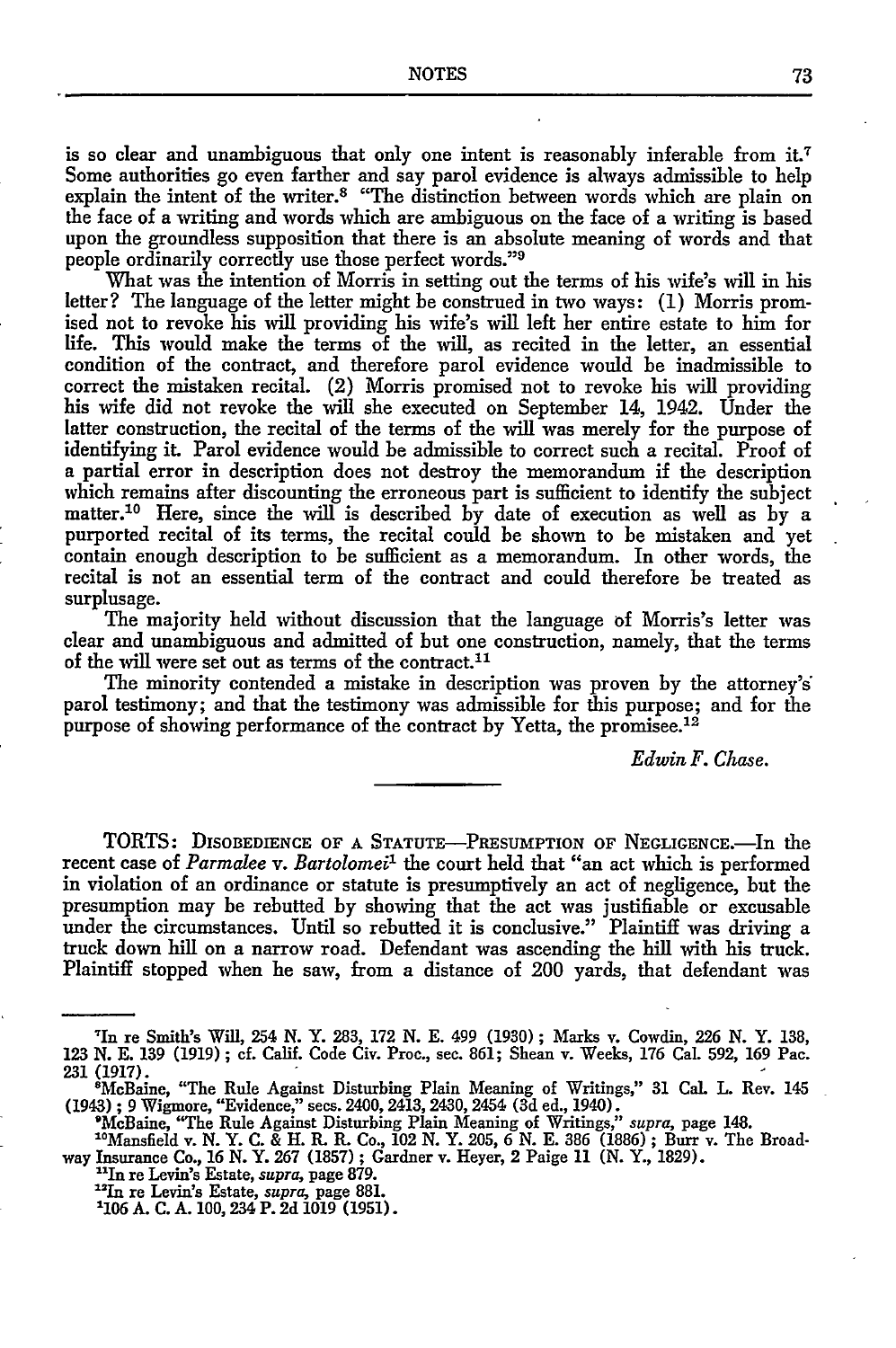is so clear and unambiguous that only one intent is reasonably inferable from it.7 Some authorities go even farther and say parol evidence is always admissible to help explain the intent of the writer.<sup>8</sup> "The distinction between words which are plain on the face of a writing and words which are ambiguous on the face of a writing is based upon the groundless supposition that there is an absolute meaning of words and that people ordinarily correctly use those perfect words."<sup>9</sup>

What was the intention of Morris in setting out the terms of his wife's will in his letter? The language of the letter might be construed in two ways: **(1)** Morris promised not to revoke his will providing his wife's will left her entire estate to him for life. This would make the terms of the will, as recited in the letter, an essential condition of the contract, and therefore parol evidence would be inadmissible to correct the mistaken recital. (2) Morris promised not to revoke his will providing his wife did not revoke the will she executed on September 14, 1942. Under the latter construction, the recital of the terms of the will was merely for the purpose of identifying it. Parol evidence would be admissible to correct such a recital. Proof of a partial error in description does not destroy the memorandum if the description which remains after discounting the erroneous part is sufficient to identify the subject matter.10 Here, since the will is described by date of execution as well as by a purported recital of its terms, the recital could be shown to be mistaken and yet contain enough description to be sufficient as a memorandum. In other words, the recital is not an essential term of the contract and could therefore be treated as surplusage.

The majority held without discussion that the language of Morris's letter was clear and unambiguous and admitted of but one construction, namely, that the terms of the will were set out as terms of the contract.<sup>11</sup>

The minority contended a mistake in description was proven by the attorney's parol testimony; and that the testimony was admissible for this purpose; and for the purpose of showing performance of the contract by Yetta, the promisee.12

*Edwin F. Chase.*

TORTS: DISOBEDIENCE OF **A** STATUTE-PRESUMPTION OF NEGLIGENCE.-In the recent case of *Parmalee v. Bartolomeii* the court held that "an act which is performed in violation of an ordinance or statute is presumptively an act of negligence, but the presumption may be rebutted by showing that the act was justifiable or excusable under the circumstances. Until so rebutted it is conclusive." Plaintiff was driving a truck down hill on a narrow road. Defendant was ascending the hill with his truck. Plaintiff stopped when he saw, from a distance of 200 yards, that defendant was

<sup>&#</sup>x27;In re Smith's Will, 254 N. Y. 283, 172 N. E. 499 (1930) ; Marks v. Cowdin, 226 N. Y. 138, 123 **N. E.** 139 (1919); **cf.** Calif. Code Civ. Proc., see. 861; Shean v. Weeks, 176 Cal. 592, 169 Pac. 231 (1917). <sup>8</sup>

McBaine, "The Rule Against Disturbing Plain Meaning of Writings," 31 Cal. L. Rev. 145 (1943) ; 9 Wigmore, "Evidence," sees. 2400, 2413, 2430, 2454 (3d ed., 1940). 'McBaine, "The Rule Against Disturbing Plain Meaning of Writings," *supra,* page 148.

<sup>&</sup>quot;Mansfield v. N. Y. **C.** & H. R. R. Co., 102 N. Y. 205, 6 N. E. **386** (1886) ; Burr v. The Broadway Insurance Co., 16 N. Y. 267 (1857) ; Gardner v. Heyer, 2 Paige 11 (N. Y., 1829). "In re Levin's Estate, *supra,* page **879.** " 2

In re Levin's Estate, *supra,* page 881.

<sup>&#</sup>x27;106 A. **C.** A. 100, 234 P. 2d 1019 (1951).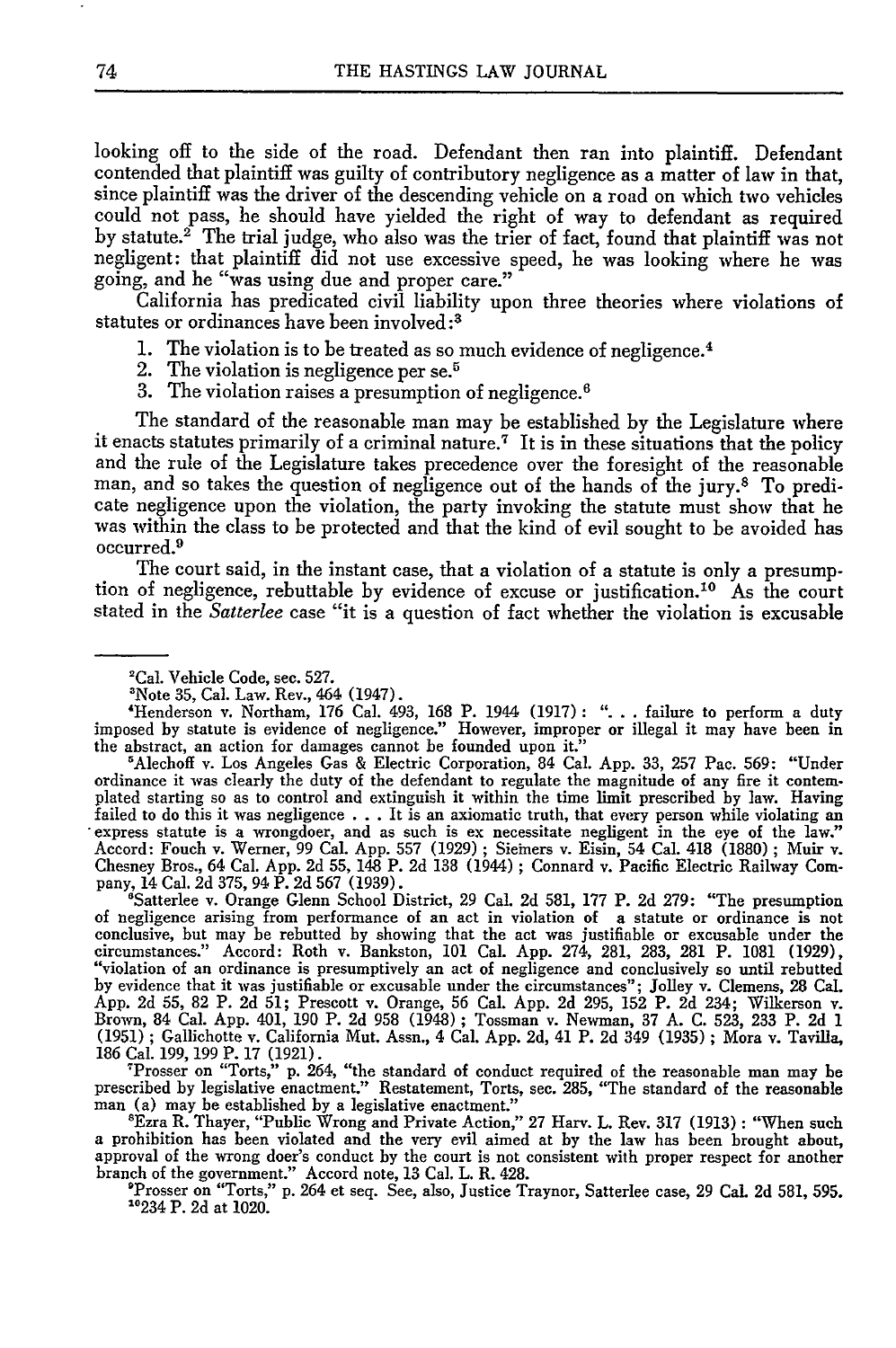looking off to the side of the road. Defendant then ran into plaintiff. Defendant contended that plaintiff was guilty of contributory negligence as a matter of law in that, since plaintiff was the driver of the descending vehicle on a road on which two vehicles could not pass, he should have yielded the right of way to defendant as required by statute.<sup>2</sup> The trial judge, who also was the trier of fact, found that plaintiff was not negligent: that plaintiff did not use excessive speed, he was looking where he was going, and he "was using due and proper care."

California has predicated civil liability upon three theories where violations of statutes or ordinances have been involved :3

- 1. The violation is to be treated as so much evidence of negligence.<sup>4</sup>
- 2. The violation is negligence per se.<sup>5</sup>
- 3. The violation raises a presumption of negligence. <sup>6</sup>

The standard of the reasonable man may be established **by** the Legislature where it enacts statutes primarily of a criminal nature.<sup>7</sup> It is in these situations that the policy and the rule of the Legislature takes precedence over the foresight of the reasonable man, and so takes the question of negligence out of the hands of the jury.8 To predicate negligence upon the violation, the party invoking the statute must show that he was within the class to be protected and that the kind of evil sought to be avoided has occurred.9

The court said, in the instant case, that a violation of a statute is only a presumption of negligence, rebuttable by evidence of excuse or justification.<sup>10</sup> As the court stated in the *Satterlee* case "it is a question of fact whether the violation is excusable

'Alechoff v. Los Angeles Gas & Electric Corporation, 84 Cal. App. 33, 257 Pac. 569: "Under ordinance it was clearly the duty of the defendant to regulate the magnitude of any fire it contemplated starting so as to control and extinguish it within the time limit prescribed by law. Having failed to do this it was negligence .**..**It is an axiomatic truth, that every person while violating an express statute is a wrongdoer, and as such is ex necessitate negligent in the eye of the law." Accord: Fouch v. Werner, 99 Cal. App. 557 (1929) ; Siemers v. Eisin, 54 Cal. 418 (1880) ; Muir v. Chesney Bros., 64 Cal. App. 2d 55, 148 P. 2d 138 (1944) ; Connard v. Pacific Electric Railway Company, 14 Cal. 2d 375, 94 P. 2d 567 (1939).

'Satterlee v. Orange Glenn School District, **29** Cal. 2d 581, 177 P. 2d **279:** "The presumption of negligence arising from performance of an act in violation of a statute or ordinance is not conclusive, but may be rebutted **by** showing that the act was justifiable or excusable under the circumstances." Accord: Roth v. Bankston, 101 Cal. App. 274, 281, 283, 281 P. 1081 (1929), "violation of an ordinance is presumptively an act of negligence and conclusively so until rebutted by evidence that it was justifiable or excusable under the circumstances"; Jolley v. Clemens, **28** Cal. App. 2d 55, 82 P. 2d 51; Prescott v. Orange, 56 Cal. App. 2d 295, 152 P. 2d 234; Wilkerson v. Brown, 84 Cal. App. 401, **190** P. 2d **958** (1948) ; Tossman v. Newman, 37 A. C. 523, 233 P. 2d 1 (1951) ; Gallichotte v. California Mut. Assn., 4 Cal. App. 2d, 41 P. 2d 349 (1935) ; Mora v. Tavilla, 186 Cal. **199, 199** P. 17 (1921).

<sup>T</sup>Prosser on "Torts," p. 264, "the standard of conduct required of the reasonable man may be<br>prescribed by legislative enactment." Restatement, Torts, sec. 285, "The standard of the reasonable<br>man (a) may be established b

'Ezra R. Thayer, "Public Wrong and Private Action," 27 Harv. L. Rev. 317 (1913): "When such a prohibition has been violated and the very evil aimed at by the law has been brought about, approval of the wrong doer's conduct by the court is not consistent with proper respect for another branch of the government." Accord note, 13 Cal. L. R. 428.

The Prosser on "Torts," p. 264 et seq. See, also, Justice Traynor, Satterlee case, 29 Cal. 2d 581, 595. 10234 P. 2d at 1020.

<sup>&#</sup>x27;Cal. Vehicle Code, sec. 527.

<sup>&#</sup>x27;Note 35, Cal. Law. Rev., 464 (1947). 'Henderson v. Northam, 176 Cal. 493, 168 P. 1944 (1917): "... failure to perform a duty imposed by statute is evidence of negligence." However, improper or illegal it may have been in the abstract, an action for damages cannot be founded upon it."